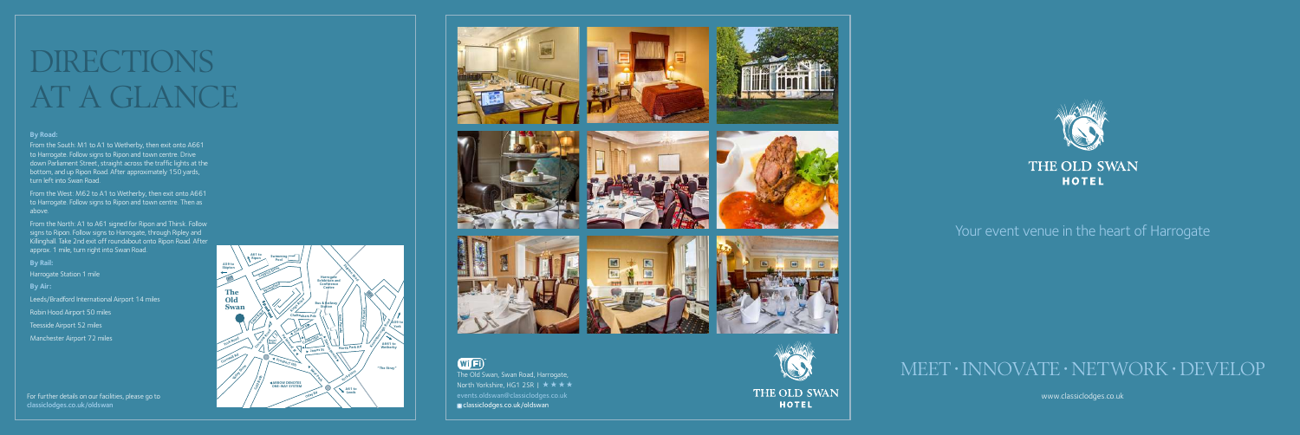# DIRECTIONS AT A GLANCE

# MEET • INNOVATE • NETWORK • DEVELOP

www.classiclodges.co.uk

### **By Road:**

From the North: A1 to A61 signed for Ripon and Thirsk. Follow signs to Ripon. Follow signs to Harrogate, through Ripley and Killinghall. Take 2nd exit off roundabout onto Ripon Road. After approx. 1 mile, turn right into Swan Road.

From the South: M1 to A1 to Wetherby, then exit onto A661 to Harrogate. Follow signs to Ripon and town centre. Drive down Parliament Street, straight across the traffic lights at the bottom, and up Ripon Road. After approximately 150 yards, turn left into Swan Road.

From the West: M62 to A1 to Wetherby, then exit onto A661 to Harrogate. Follow signs to Ripon and town centre. Then as above.

**By Rail:**

Harrogate Station 1 mile

**By Air:**

Leeds/Bradford International Airport 14 miles

Robin Hood Airport 50 miles

Teesside Airport 52 miles

Manchester Airport 72 miles

The Old Swan, Swan Road, Harrogate, North Yorkshire, HG1 2SR |  $\star \star \star \star$ events.oldswan@classiclodges.co.uk classiclodges.co.uk/oldswan







THE OLD SWAN **HOTEL** 



## Your event venue in the heart of Harrogate

For further details on our facilities, please go to classiclodges.co.uk/oldswan





## WIFI<sup>®</sup>